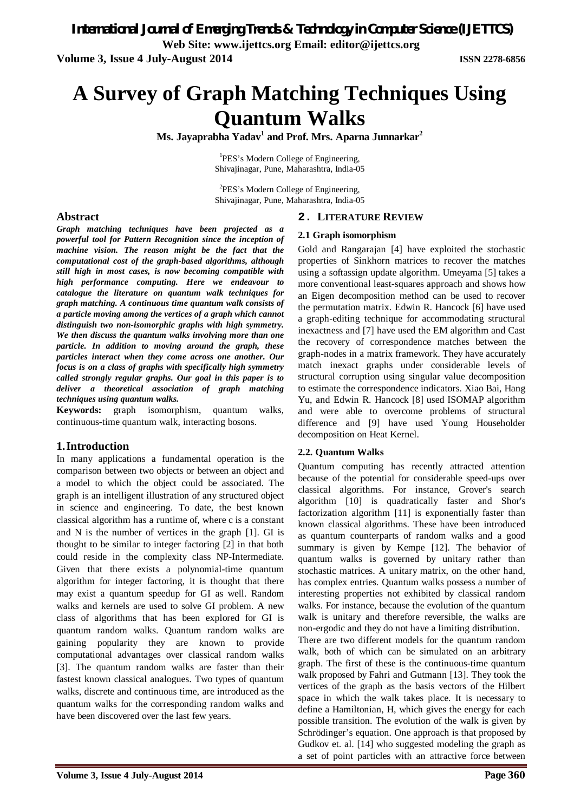*International Journal of Emerging Trends & Technology in Computer Science (IJETTCS)* **Web Site: www.ijettcs.org Email: editor@ijettcs.org Volume 3, Issue 4 July-August 2014 ISSN 2278-6856**

# **A Survey of Graph Matching Techniques Using Quantum Walks**

**Ms. Jayaprabha Yadav<sup>1</sup> and Prof. Mrs. Aparna Junnarkar<sup>2</sup>**

<sup>1</sup>PES's Modern College of Engineering, Shivajinagar, Pune, Maharashtra, India-05

<sup>2</sup>PES's Modern College of Engineering, Shivajinagar, Pune, Maharashtra, India-05

## **2. LITERATURE REVIEW**

## **2.1 Graph isomorphism**

Gold and Rangarajan [4] have exploited the stochastic properties of Sinkhorn matrices to recover the matches using a softassign update algorithm. Umeyama [5] takes a more conventional least-squares approach and shows how an Eigen decomposition method can be used to recover the permutation matrix. Edwin R. Hancock [6] have used a graph-editing technique for accommodating structural inexactness and [7] have used the EM algorithm and Cast the recovery of correspondence matches between the graph-nodes in a matrix framework. They have accurately match inexact graphs under considerable levels of structural corruption using singular value decomposition to estimate the correspondence indicators. Xiao Bai, Hang Yu, and Edwin R. Hancock [8] used ISOMAP algorithm and were able to overcome problems of structural difference and [9] have used Young Householder decomposition on Heat Kernel.

#### **2.2. Quantum Walks**

Quantum computing has recently attracted attention because of the potential for considerable speed-ups over classical algorithms. For instance, Grover's search algorithm [10] is quadratically faster and Shor's factorization algorithm [11] is exponentially faster than known classical algorithms. These have been introduced as quantum counterparts of random walks and a good summary is given by Kempe [12]. The behavior of quantum walks is governed by unitary rather than stochastic matrices. A unitary matrix, on the other hand, has complex entries. Quantum walks possess a number of interesting properties not exhibited by classical random walks. For instance, because the evolution of the quantum walk is unitary and therefore reversible, the walks are non-ergodic and they do not have a limiting distribution.

There are two different models for the quantum random walk, both of which can be simulated on an arbitrary graph. The first of these is the continuous-time quantum walk proposed by Fahri and Gutmann [13]. They took the vertices of the graph as the basis vectors of the Hilbert space in which the walk takes place. It is necessary to define a Hamiltonian, H, which gives the energy for each possible transition. The evolution of the walk is given by Schrödinger's equation. One approach is that proposed by Gudkov et. al. [14] who suggested modeling the graph as a set of point particles with an attractive force between

## **Abstract**

*Graph matching techniques have been projected as a powerful tool for Pattern Recognition since the inception of machine vision. The reason might be the fact that the computational cost of the graph-based algorithms, although still high in most cases, is now becoming compatible with high performance computing. Here we endeavour to catalogue the literature on quantum walk techniques for graph matching. A continuous time quantum walk consists of a particle moving among the vertices of a graph which cannot distinguish two non-isomorphic graphs with high symmetry. We then discuss the quantum walks involving more than one particle. In addition to moving around the graph, these particles interact when they come across one another. Our focus is on a class of graphs with specifically high symmetry called strongly regular graphs. Our goal in this paper is to deliver a theoretical association of graph matching techniques using quantum walks.*

**Keywords:** graph isomorphism, quantum walks, continuous-time quantum walk, interacting bosons.

# **1.Introduction**

In many applications a fundamental operation is the comparison between two objects or between an object and a model to which the object could be associated. The graph is an intelligent illustration of any structured object in science and engineering. To date, the best known classical algorithm has a runtime of, where c is a constant and N is the number of vertices in the graph [1]. GI is thought to be similar to integer factoring [2] in that both could reside in the complexity class NP-Intermediate. Given that there exists a polynomial-time quantum algorithm for integer factoring, it is thought that there may exist a quantum speedup for GI as well. Random walks and kernels are used to solve GI problem. A new class of algorithms that has been explored for GI is quantum random walks. Quantum random walks are gaining popularity they are known to provide computational advantages over classical random walks [3]. The quantum random walks are faster than their fastest known classical analogues. Two types of quantum walks, discrete and continuous time, are introduced as the quantum walks for the corresponding random walks and have been discovered over the last few years.

**Volume 3, Issue 4 July-August 2014 Page 360**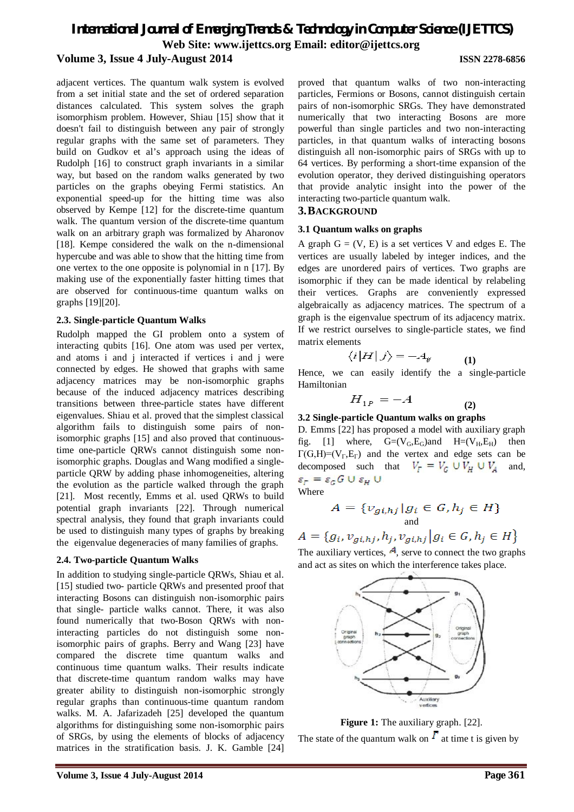# *International Journal of Emerging Trends & Technology in Computer Science (IJETTCS)* **Web Site: www.ijettcs.org Email: editor@ijettcs.org Volume 3, Issue 4 July-August 2014 ISSN 2278-6856**

adjacent vertices. The quantum walk system is evolved from a set initial state and the set of ordered separation distances calculated. This system solves the graph isomorphism problem. However, Shiau [15] show that it doesn't fail to distinguish between any pair of strongly regular graphs with the same set of parameters. They build on Gudkov et al's approach using the ideas of Rudolph [16] to construct graph invariants in a similar way, but based on the random walks generated by two particles on the graphs obeying Fermi statistics. An exponential speed-up for the hitting time was also observed by Kempe [12] for the discrete-time quantum walk. The quantum version of the discrete-time quantum walk on an arbitrary graph was formalized by Aharonov [18]. Kempe considered the walk on the n-dimensional hypercube and was able to show that the hitting time from one vertex to the one opposite is polynomial in n [17]. By making use of the exponentially faster hitting times that are observed for continuous-time quantum walks on graphs [19][20].

## **2.3. Single-particle Quantum Walks**

Rudolph mapped the GI problem onto a system of interacting qubits [16]. One atom was used per vertex, and atoms i and j interacted if vertices i and j were connected by edges. He showed that graphs with same adjacency matrices may be non-isomorphic graphs because of the induced adjacency matrices describing transitions between three-particle states have different eigenvalues. Shiau et al. proved that the simplest classical algorithm fails to distinguish some pairs of nonisomorphic graphs [15] and also proved that continuoustime one-particle QRWs cannot distinguish some nonisomorphic graphs. Douglas and Wang modified a singleparticle QRW by adding phase inhomogeneities, altering the evolution as the particle walked through the graph [21]. Most recently, Emms et al. used QRWs to build potential graph invariants [22]. Through numerical spectral analysis, they found that graph invariants could be used to distinguish many types of graphs by breaking the eigenvalue degeneracies of many families of graphs.

#### **2.4. Two-particle Quantum Walks**

In addition to studying single-particle QRWs, Shiau et al. [15] studied two- particle ORWs and presented proof that interacting Bosons can distinguish non-isomorphic pairs that single- particle walks cannot. There, it was also found numerically that two-Boson QRWs with noninteracting particles do not distinguish some nonisomorphic pairs of graphs. Berry and Wang [23] have compared the discrete time quantum walks and continuous time quantum walks. Their results indicate that discrete-time quantum random walks may have greater ability to distinguish non-isomorphic strongly regular graphs than continuous-time quantum random walks. M. A. Jafarizadeh [25] developed the quantum algorithms for distinguishing some non-isomorphic pairs of SRGs, by using the elements of blocks of adjacency matrices in the stratification basis. J. K. Gamble [24] proved that quantum walks of two non-interacting particles, Fermions or Bosons, cannot distinguish certain pairs of non-isomorphic SRGs. They have demonstrated numerically that two interacting Bosons are more powerful than single particles and two non-interacting particles, in that quantum walks of interacting bosons distinguish all non-isomorphic pairs of SRGs with up to 64 vertices. By performing a short-time expansion of the evolution operator, they derived distinguishing operators that provide analytic insight into the power of the interacting two-particle quantum walk.

# **3.BACKGROUND**

#### **3.1 Quantum walks on graphs**

A graph  $G = (V, E)$  is a set vertices V and edges E. The vertices are usually labeled by integer indices, and the edges are unordered pairs of vertices. Two graphs are isomorphic if they can be made identical by relabeling their vertices. Graphs are conveniently expressed algebraically as adjacency matrices. The spectrum of a graph is the eigenvalue spectrum of its adjacency matrix. If we restrict ourselves to single-particle states, we find matrix elements

$$
\langle i|H|j\rangle = -A_{ij} \tag{1}
$$

Hence, we can easily identify the a single-particle Hamiltonian

$$
H_{1P} = -A \tag{2}
$$

## **3.2 Single-particle Quantum walks on graphs**

D. Emms [22] has proposed a model with auxiliary graph fig. [1] where,  $G=(V_G, E_G)$  and  $H=(V_H, E_H)$  then  $\Gamma(G,H)=(V_{\Gamma},E_{\Gamma})$  and the vertex and edge sets can be decomposed such that  $V_F = V_G \cup V_H \cup V_A$  and,  $\varepsilon_F = \varepsilon_G G \cup \varepsilon_H \cup$ 

Where

$$
A = \{v_{gi,hj} | g_i \in G, h_j \in H\}
$$
  
and

 $A = \{g_i, v_{gi,hj}, h_j, v_{gi,hj} | g_i \in G, h_j \in H\}$ 

The auxiliary vertices,  $A$ , serve to connect the two graphs and act as sites on which the interference takes place.



**Figure 1:** The auxiliary graph. [22].

The state of the quantum walk on  $\Gamma$  at time t is given by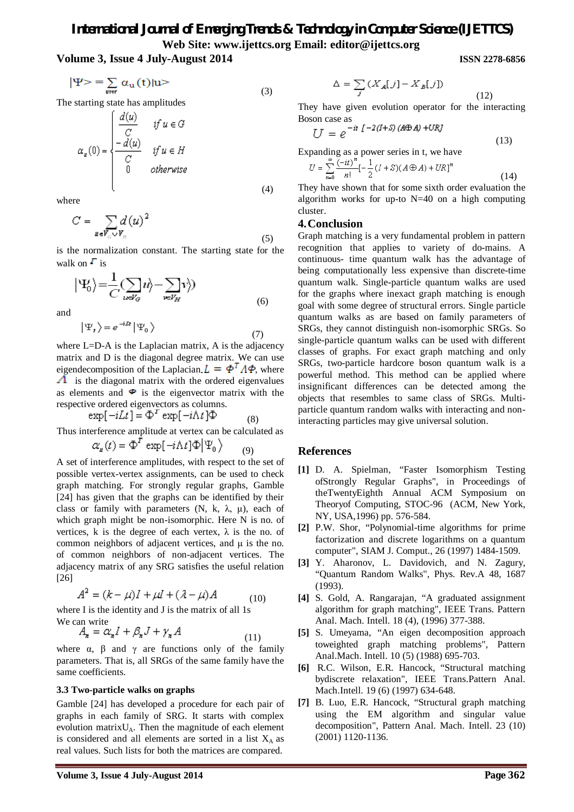# *International Journal of Emerging Trends & Technology in Computer Science (IJETTCS)* **Web Site: www.ijettcs.org Email: editor@ijettcs.org**

(4)

**Volume 3, Issue 4 July-August 2014 ISSN 2278-6856**

$$
|\Psi\rangle = \sum_{\text{upper}} \alpha_{\text{u}}(t) | \text{u} \rangle \tag{3}
$$

The starting state has amplitudes

$$
\alpha_u(0) = \begin{cases} \frac{d(u)}{C} & \text{if } u \in G \\ \frac{-d(u)}{C} & \text{if } u \in H \\ 0 & \text{otherwise} \end{cases}
$$

where

$$
C = \sum_{u \in V_c \cup V_H} d(u)^2 \tag{5}
$$

is the normalization constant. The starting state for the walk on  $\Gamma$  is

$$
\left| \Psi_0 \right\rangle = \frac{1}{C} (\sum_{\nu \in V_G} u \rangle - \sum_{\nu \in V_H} v \rangle)
$$
\n(6)

and

$$
|\Psi_t\rangle = e^{-i\Omega t} |\Psi_0\rangle \tag{7}
$$

where L=D-A is the Laplacian matrix, A is the adjacency matrix and D is the diagonal degree matrix. We can use eigendecomposition of the Laplacian  $L = \phi^T A \phi$ , where  $\Lambda$  is the diagonal matrix with the ordered eigenvalues as elements and  $\Phi$  is the eigenvector matrix with the respective ordered eigenvectors as columns.

$$
\exp[-i\Delta t] = \Phi^T \exp[-i\Lambda t] \Phi \tag{8}
$$

Thus interference amplitude at vertex can be calculated as

$$
\alpha_{u}(t) = \Phi^{T} \exp[-i\Lambda t] \Phi | \Psi_{0} \rangle \qquad (9)
$$

A set of interference amplitudes, with respect to the set of possible vertex-vertex assignments, can be used to check graph matching. For strongly regular graphs, Gamble [24] has given that the graphs can be identified by their class or family with parameters  $(N, k, \lambda, \mu)$ , each of which graph might be non-isomorphic. Here N is no. of vertices, k is the degree of each vertex,  $\lambda$  is the no. of common neighbors of adjacent vertices, and μ is the no. of common neighbors of non-adjacent vertices. The adjacency matrix of any SRG satisfies the useful relation [26]

$$
A^2 = (k - \mu)I + \mu I + (\lambda - \mu)A \tag{10}
$$

where I is the identity and J is the matrix of all 1s We can write

$$
A_{n} = \alpha_{n} I + \beta_{n} J + \gamma_{n} A \tag{11}
$$

where  $\alpha$ ,  $\beta$  and  $\gamma$  are functions only of the family parameters. That is, all SRGs of the same family have the same coefficients.

#### **3.3 Two-particle walks on graphs**

Gamble [24] has developed a procedure for each pair of graphs in each family of SRG. It starts with complex evolution matrix $U_A$ . Then the magnitude of each element is considered and all elements are sorted in a list  $X_A$  as real values. Such lists for both the matrices are compared.

$$
\Delta = \sum_{j} (X_A[j] - X_B[j])
$$
\n(12)

They have given evolution operator for the interacting Boson case as

$$
U = e^{-it \int -2(I+S) (A \oplus A) + URJ}
$$

Expanding as a power series in t, we have

$$
U = \sum_{n=0}^{\infty} \frac{(-it)^n}{n!} [-\frac{1}{2}(I+S)(A\oplus A) + UR]^n
$$
 (14)

(13)

They have shown that for some sixth order evaluation the algorithm works for up-to  $N=40$  on a high computing cluster.

# **4.Conclusion**

Graph matching is a very fundamental problem in pattern recognition that applies to variety of do-mains. A continuous- time quantum walk has the advantage of being computationally less expensive than discrete-time quantum walk. Single-particle quantum walks are used for the graphs where inexact graph matching is enough goal with some degree of structural errors. Single particle quantum walks as are based on family parameters of SRGs, they cannot distinguish non-isomorphic SRGs. So single-particle quantum walks can be used with different classes of graphs. For exact graph matching and only SRGs, two-particle hardcore boson quantum walk is a powerful method. This method can be applied where insignificant differences can be detected among the objects that resembles to same class of SRGs. Multiparticle quantum random walks with interacting and noninteracting particles may give universal solution.

# **References**

- **[1]** D. A. Spielman, "Faster Isomorphism Testing ofStrongly Regular Graphs", in Proceedings of theTwentyEighth Annual ACM Symposium on Theoryof Computing, STOC-96 (ACM, New York, NY, USA,1996) pp. 576-584.
- **[2]** P.W. Shor, "Polynomial-time algorithms for prime factorization and discrete logarithms on a quantum computer", SIAM J. Comput., 26 (1997) 1484-1509.
- **[3]** Y. Aharonov, L. Davidovich, and N. Zagury, "Quantum Random Walks", Phys. Rev.A 48, 1687 (1993).
- **[4]** S. Gold, A. Rangarajan, "A graduated assignment algorithm for graph matching", IEEE Trans. Pattern Anal. Mach. Intell. 18 (4), (1996) 377-388.
- **[5]** S. Umeyama, "An eigen decomposition approach toweighted graph matching problems", Pattern Anal.Mach. Intell. 10 (5) (1988) 695-703.
- **[6]** R.C. Wilson, E.R. Hancock, "Structural matching bydiscrete relaxation", IEEE Trans.Pattern Anal. Mach.Intell. 19 (6) (1997) 634-648.
- **[7]** B. Luo, E.R. Hancock, "Structural graph matching using the EM algorithm and singular value decomposition", Pattern Anal. Mach. Intell. 23 (10) (2001) 1120-1136.